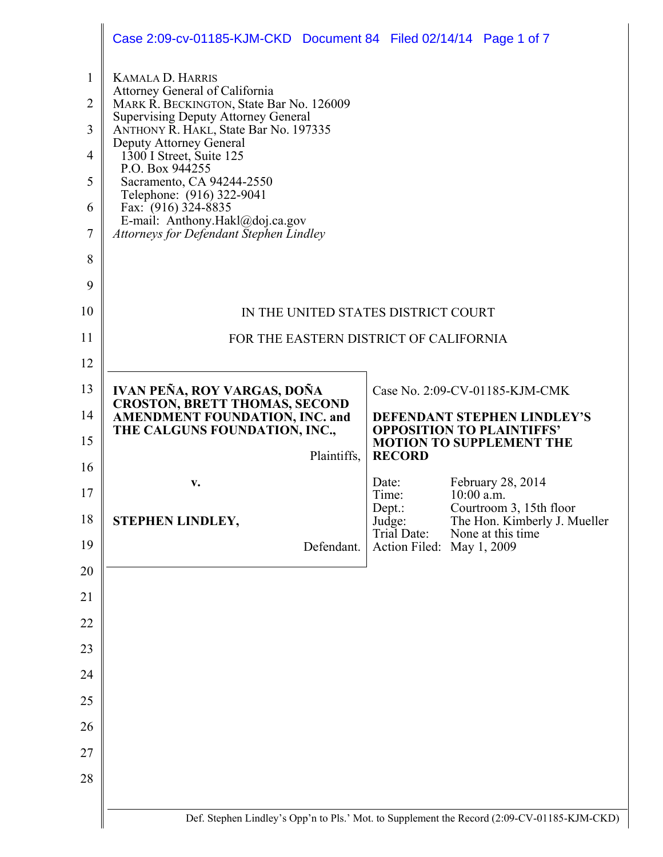|                                                                                | Case 2:09-cv-01185-KJM-CKD Document 84 Filed 02/14/14 Page 1 of 7                                                                                                                                                                                                                                                                                                                                                                       |                                        |              |                                                                 |
|--------------------------------------------------------------------------------|-----------------------------------------------------------------------------------------------------------------------------------------------------------------------------------------------------------------------------------------------------------------------------------------------------------------------------------------------------------------------------------------------------------------------------------------|----------------------------------------|--------------|-----------------------------------------------------------------|
| $\mathbf{1}$<br>$\overline{2}$<br>3<br>4<br>5<br>6<br>$\overline{7}$<br>8<br>9 | <b>KAMALA D. HARRIS</b><br>Attorney General of California<br>MARK R. BECKINGTON, State Bar No. 126009<br><b>Supervising Deputy Attorney General</b><br>ANTHONY R. HAKL, State Bar No. 197335<br>Deputy Attorney General<br>$1300$ I Street, Suite 125<br>P.O. Box 944255<br>Sacramento, CA 94244-2550<br>Telephone: (916) 322-9041<br>Fax: (916) 324-8835<br>E-mail: Anthony.Hakl@doj.ca.gov<br>Attorneys for Defendant Stephen Lindley |                                        |              |                                                                 |
| 10                                                                             | IN THE UNITED STATES DISTRICT COURT                                                                                                                                                                                                                                                                                                                                                                                                     |                                        |              |                                                                 |
| 11                                                                             | FOR THE EASTERN DISTRICT OF CALIFORNIA                                                                                                                                                                                                                                                                                                                                                                                                  |                                        |              |                                                                 |
| 12                                                                             |                                                                                                                                                                                                                                                                                                                                                                                                                                         |                                        |              |                                                                 |
| 13                                                                             | IVAN PEÑA, ROY VARGAS, DOÑA<br><b>CROSTON, BRETT THOMAS, SECOND</b>                                                                                                                                                                                                                                                                                                                                                                     | Case No. 2:09-CV-01185-KJM-CMK         |              |                                                                 |
| 14<br>15                                                                       | <b>AMENDMENT FOUNDATION, INC. and</b><br>THE CALGUNS FOUNDATION, INC.,                                                                                                                                                                                                                                                                                                                                                                  |                                        |              | DEFENDANT STEPHEN LINDLEY'S<br><b>OPPOSITION TO PLAINTIFFS'</b> |
| 16                                                                             | Plaintiffs,                                                                                                                                                                                                                                                                                                                                                                                                                             | <b>RECORD</b>                          |              | <b>MOTION TO SUPPLEMENT THE</b>                                 |
| 17                                                                             | v.                                                                                                                                                                                                                                                                                                                                                                                                                                      | Date:<br>Time:                         | $10:00$ a.m. | February 28, 2014                                               |
|                                                                                |                                                                                                                                                                                                                                                                                                                                                                                                                                         |                                        |              | Courtroom 3, 15th floor<br>The Hon. Kimberly J. Mueller         |
|                                                                                |                                                                                                                                                                                                                                                                                                                                                                                                                                         | Dept.:                                 |              |                                                                 |
| 18<br>19                                                                       | STEPHEN LINDLEY,<br>Defendant.                                                                                                                                                                                                                                                                                                                                                                                                          | Judge:<br>Trial Date:<br>Action Filed: |              | None at this time<br>May 1, 2009                                |
| 20                                                                             |                                                                                                                                                                                                                                                                                                                                                                                                                                         |                                        |              |                                                                 |
| 21                                                                             |                                                                                                                                                                                                                                                                                                                                                                                                                                         |                                        |              |                                                                 |
| 22                                                                             |                                                                                                                                                                                                                                                                                                                                                                                                                                         |                                        |              |                                                                 |
| 23                                                                             |                                                                                                                                                                                                                                                                                                                                                                                                                                         |                                        |              |                                                                 |
| 24                                                                             |                                                                                                                                                                                                                                                                                                                                                                                                                                         |                                        |              |                                                                 |
| 25                                                                             |                                                                                                                                                                                                                                                                                                                                                                                                                                         |                                        |              |                                                                 |
| 26                                                                             |                                                                                                                                                                                                                                                                                                                                                                                                                                         |                                        |              |                                                                 |
| 27                                                                             |                                                                                                                                                                                                                                                                                                                                                                                                                                         |                                        |              |                                                                 |
| 28                                                                             |                                                                                                                                                                                                                                                                                                                                                                                                                                         |                                        |              |                                                                 |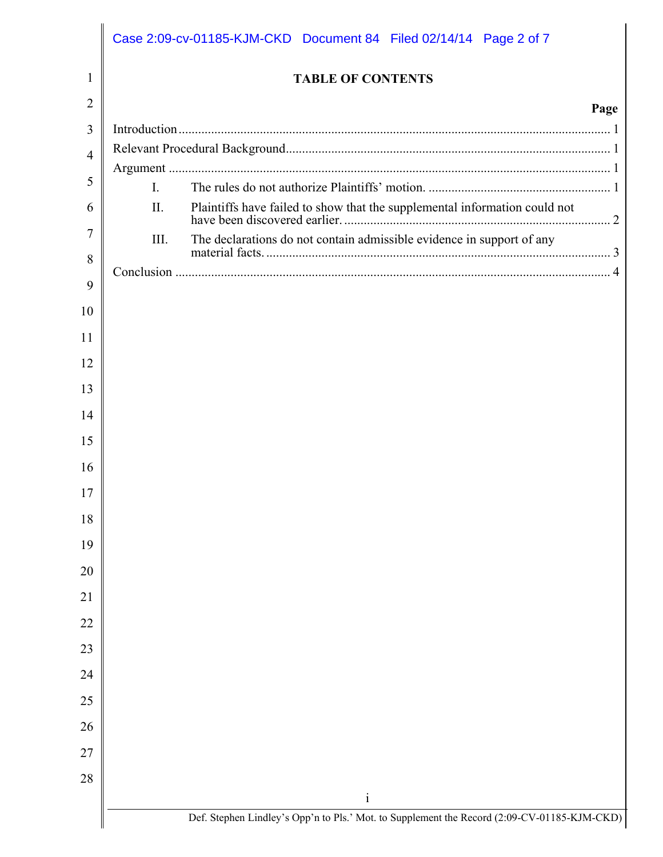| 1              |                     | <b>TABLE OF CONTENTS</b>                                              |      |
|----------------|---------------------|-----------------------------------------------------------------------|------|
| $\overline{2}$ |                     |                                                                       | Page |
| 3              |                     |                                                                       |      |
| $\overline{4}$ |                     |                                                                       |      |
| 5              |                     |                                                                       |      |
| 6              | $\mathbf{L}$<br>II. |                                                                       |      |
| 7              |                     |                                                                       |      |
|                | III.                | The declarations do not contain admissible evidence in support of any |      |
| 8              |                     |                                                                       |      |
| 9              |                     |                                                                       |      |
| 10             |                     |                                                                       |      |
| 11             |                     |                                                                       |      |
| 12             |                     |                                                                       |      |
| 13             |                     |                                                                       |      |
| 14             |                     |                                                                       |      |
| 15             |                     |                                                                       |      |
| 16             |                     |                                                                       |      |
| 17             |                     |                                                                       |      |
| 18             |                     |                                                                       |      |
| 19             |                     |                                                                       |      |
| 20             |                     |                                                                       |      |
| 21             |                     |                                                                       |      |
| 22             |                     |                                                                       |      |
| 23             |                     |                                                                       |      |
| 24             |                     |                                                                       |      |
| 25             |                     |                                                                       |      |
|                |                     |                                                                       |      |
| 26             |                     |                                                                       |      |
| 27             |                     |                                                                       |      |
| 28             |                     | $\mathbf{i}$                                                          |      |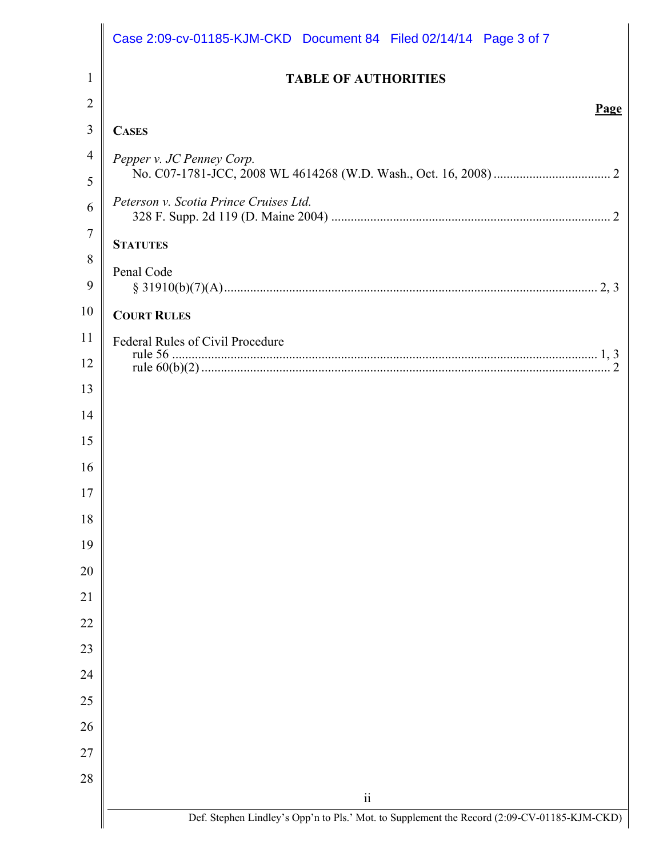| 1<br>$\overline{2}$<br>3<br><b>CASES</b><br>$\overline{4}$<br>Pepper v. JC Penney Corp.<br>5<br>Peterson v. Scotia Prince Cruises Ltd.<br>6<br>$\overline{7}$<br><b>STATUTES</b><br>8<br>Penal Code<br>9 | <b>TABLE OF AUTHORITIES</b><br>Page                                                         |
|----------------------------------------------------------------------------------------------------------------------------------------------------------------------------------------------------------|---------------------------------------------------------------------------------------------|
|                                                                                                                                                                                                          |                                                                                             |
|                                                                                                                                                                                                          |                                                                                             |
|                                                                                                                                                                                                          |                                                                                             |
|                                                                                                                                                                                                          |                                                                                             |
|                                                                                                                                                                                                          |                                                                                             |
|                                                                                                                                                                                                          |                                                                                             |
|                                                                                                                                                                                                          |                                                                                             |
|                                                                                                                                                                                                          |                                                                                             |
|                                                                                                                                                                                                          |                                                                                             |
| 10<br><b>COURT RULES</b>                                                                                                                                                                                 |                                                                                             |
| 11<br>Federal Rules of Civil Procedure                                                                                                                                                                   |                                                                                             |
| 12<br>13                                                                                                                                                                                                 |                                                                                             |
| 14                                                                                                                                                                                                       |                                                                                             |
| 15                                                                                                                                                                                                       |                                                                                             |
| 16                                                                                                                                                                                                       |                                                                                             |
| 17                                                                                                                                                                                                       |                                                                                             |
| 18                                                                                                                                                                                                       |                                                                                             |
| 19                                                                                                                                                                                                       |                                                                                             |
| 20                                                                                                                                                                                                       |                                                                                             |
| 21                                                                                                                                                                                                       |                                                                                             |
| 22                                                                                                                                                                                                       |                                                                                             |
| 23                                                                                                                                                                                                       |                                                                                             |
| 24                                                                                                                                                                                                       |                                                                                             |
| 25                                                                                                                                                                                                       |                                                                                             |
| 26                                                                                                                                                                                                       |                                                                                             |
| 27                                                                                                                                                                                                       |                                                                                             |
| 28                                                                                                                                                                                                       | $\overline{\textbf{ii}}$                                                                    |
|                                                                                                                                                                                                          | Def. Stephen Lindley's Opp'n to Pls.' Mot. to Supplement the Record (2:09-CV-01185-KJM-CKD) |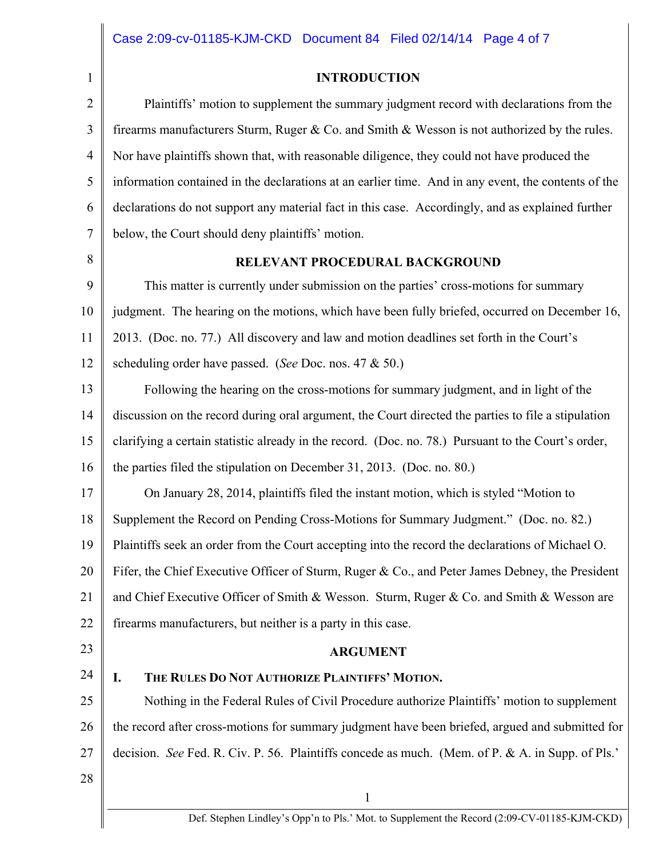#### **INTRODUCTION**

2 3 4 5 6 7 8 Plaintiffs' motion to supplement the summary judgment record with declarations from the firearms manufacturers Sturm, Ruger & Co. and Smith & Wesson is not authorized by the rules. Nor have plaintiffs shown that, with reasonable diligence, they could not have produced the information contained in the declarations at an earlier time. And in any event, the contents of the declarations do not support any material fact in this case. Accordingly, and as explained further below, the Court should deny plaintiffs' motion. **RELEVANT PROCEDURAL BACKGROUND** 

9 10 11 12 This matter is currently under submission on the parties' cross-motions for summary judgment. The hearing on the motions, which have been fully briefed, occurred on December 16, 2013. (Doc. no. 77.) All discovery and law and motion deadlines set forth in the Court's scheduling order have passed. (*See* Doc. nos. 47 & 50.)

13 14 15 16 Following the hearing on the cross-motions for summary judgment, and in light of the discussion on the record during oral argument, the Court directed the parties to file a stipulation clarifying a certain statistic already in the record. (Doc. no. 78.) Pursuant to the Court's order, the parties filed the stipulation on December 31, 2013. (Doc. no. 80.)

17 18 19 20 21 22 On January 28, 2014, plaintiffs filed the instant motion, which is styled "Motion to Supplement the Record on Pending Cross-Motions for Summary Judgment." (Doc. no. 82.) Plaintiffs seek an order from the Court accepting into the record the declarations of Michael O. Fifer, the Chief Executive Officer of Sturm, Ruger & Co., and Peter James Debney, the President and Chief Executive Officer of Smith & Wesson. Sturm, Ruger & Co. and Smith & Wesson are firearms manufacturers, but neither is a party in this case.

23

24

1

## **ARGUMENT**

# **I. THE RULES DO NOT AUTHORIZE PLAINTIFFS' MOTION.**

25 26 27 Nothing in the Federal Rules of Civil Procedure authorize Plaintiffs' motion to supplement the record after cross-motions for summary judgment have been briefed, argued and submitted for decision. *See* Fed. R. Civ. P. 56. Plaintiffs concede as much. (Mem. of P. & A. in Supp. of Pls.'

1

28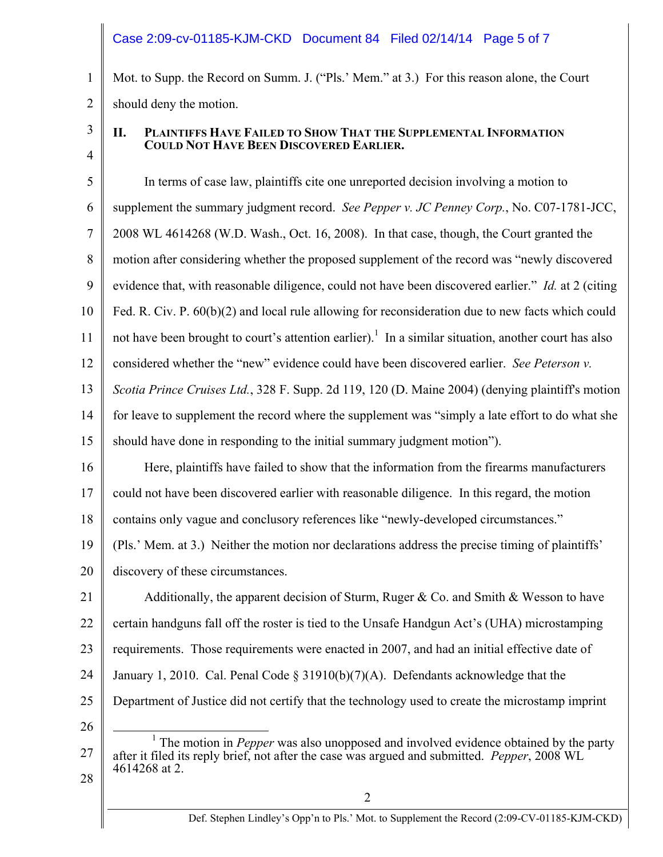# Case 2:09-cv-01185-KJM-CKD Document 84 Filed 02/14/14 Page 5 of 7

Mot. to Supp. the Record on Summ. J. ("Pls.' Mem." at 3.) For this reason alone, the Court should deny the motion.

3

4

1

2

## **II. PLAINTIFFS HAVE FAILED TO SHOW THAT THE SUPPLEMENTAL INFORMATION COULD NOT HAVE BEEN DISCOVERED EARLIER.**

5 6 7 8 9 10 11 12 13 14 15 16 17 18 In terms of case law, plaintiffs cite one unreported decision involving a motion to supplement the summary judgment record. *See Pepper v. JC Penney Corp.*, No. C07-1781-JCC, 2008 WL 4614268 (W.D. Wash., Oct. 16, 2008). In that case, though, the Court granted the motion after considering whether the proposed supplement of the record was "newly discovered evidence that, with reasonable diligence, could not have been discovered earlier." *Id.* at 2 (citing Fed. R. Civ. P. 60(b)(2) and local rule allowing for reconsideration due to new facts which could not have been brought to court's attention earlier).<sup>1</sup> In a similar situation, another court has also considered whether the "new" evidence could have been discovered earlier. *See Peterson v. Scotia Prince Cruises Ltd.*, 328 F. Supp. 2d 119, 120 (D. Maine 2004) (denying plaintiff's motion for leave to supplement the record where the supplement was "simply a late effort to do what she should have done in responding to the initial summary judgment motion"). Here, plaintiffs have failed to show that the information from the firearms manufacturers could not have been discovered earlier with reasonable diligence. In this regard, the motion contains only vague and conclusory references like "newly-developed circumstances."

19 20 (Pls.' Mem. at 3.) Neither the motion nor declarations address the precise timing of plaintiffs' discovery of these circumstances.

21 22 23 24 25 Additionally, the apparent decision of Sturm, Ruger & Co. and Smith & Wesson to have certain handguns fall off the roster is tied to the Unsafe Handgun Act's (UHA) microstamping requirements. Those requirements were enacted in 2007, and had an initial effective date of January 1, 2010. Cal. Penal Code § 31910(b)(7)(A). Defendants acknowledge that the Department of Justice did not certify that the technology used to create the microstamp imprint

26

27

28

<sup>&</sup>lt;u>1</u> <sup>1</sup> The motion in *Pepper* was also unopposed and involved evidence obtained by the party after it filed its reply brief, not after the case was argued and submitted. *Pepper*, 2008 WL 4614268 at 2.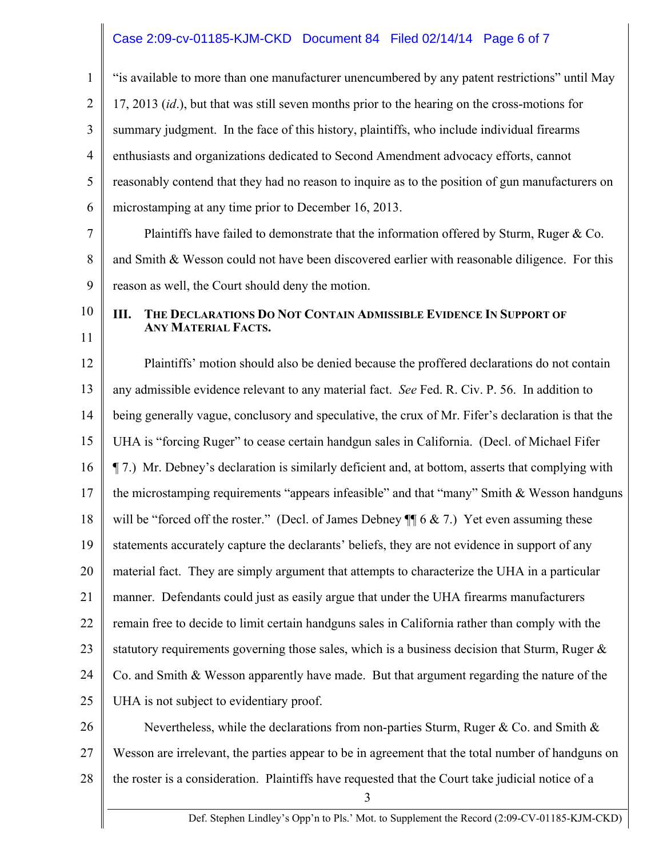## Case 2:09-cv-01185-KJM-CKD Document 84 Filed 02/14/14 Page 6 of 7

1 2 3 4 5 6 7 8 9 10 11 12 13 14 15 16 17 18 19 20 21 22 23 24 25 26 "is available to more than one manufacturer unencumbered by any patent restrictions" until May 17, 2013 (*id*.), but that was still seven months prior to the hearing on the cross-motions for summary judgment. In the face of this history, plaintiffs, who include individual firearms enthusiasts and organizations dedicated to Second Amendment advocacy efforts, cannot reasonably contend that they had no reason to inquire as to the position of gun manufacturers on microstamping at any time prior to December 16, 2013. Plaintiffs have failed to demonstrate that the information offered by Sturm, Ruger & Co. and Smith & Wesson could not have been discovered earlier with reasonable diligence. For this reason as well, the Court should deny the motion. **III. THE DECLARATIONS DO NOT CONTAIN ADMISSIBLE EVIDENCE IN SUPPORT OF ANY MATERIAL FACTS.**  Plaintiffs' motion should also be denied because the proffered declarations do not contain any admissible evidence relevant to any material fact. *See* Fed. R. Civ. P. 56. In addition to being generally vague, conclusory and speculative, the crux of Mr. Fifer's declaration is that the UHA is "forcing Ruger" to cease certain handgun sales in California. (Decl. of Michael Fifer ¶ 7.) Mr. Debney's declaration is similarly deficient and, at bottom, asserts that complying with the microstamping requirements "appears infeasible" and that "many" Smith & Wesson handguns will be "forced off the roster." (Decl. of James Debney  $\P$  6 & 7.) Yet even assuming these statements accurately capture the declarants' beliefs, they are not evidence in support of any material fact. They are simply argument that attempts to characterize the UHA in a particular manner. Defendants could just as easily argue that under the UHA firearms manufacturers remain free to decide to limit certain handguns sales in California rather than comply with the statutory requirements governing those sales, which is a business decision that Sturm, Ruger  $\&$ Co. and Smith & Wesson apparently have made. But that argument regarding the nature of the UHA is not subject to evidentiary proof. Nevertheless, while the declarations from non-parties Sturm, Ruger  $\&$  Co. and Smith  $\&$ 

28 the roster is a consideration. Plaintiffs have requested that the Court take judicial notice of a

27

3

Wesson are irrelevant, the parties appear to be in agreement that the total number of handguns on

Def. Stephen Lindley's Opp'n to Pls.' Mot. to Supplement the Record (2:09-CV-01185-KJM-CKD)